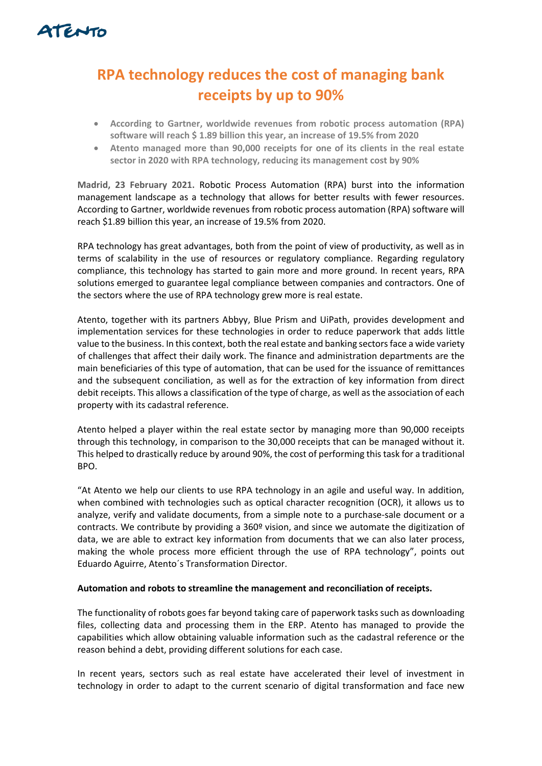

## **RPA technology reduces the cost of managing bank receipts by up to 90%**

- **According to Gartner, worldwide revenues from robotic process automation (RPA) software will reach \$ 1.89 billion this year, an increase of 19.5% from 2020**
- **Atento managed more than 90,000 receipts for one of its clients in the real estate sector in 2020 with RPA technology, reducing its management cost by 90%**

**Madrid, 23 February 2021.** Robotic Process Automation (RPA) burst into the information management landscape as a technology that allows for better results with fewer resources. According to Gartner, worldwide revenues from robotic process automation (RPA) software will reach \$1.89 billion this year, an increase of 19.5% from 2020.

RPA technology has great advantages, both from the point of view of productivity, as well as in terms of scalability in the use of resources or regulatory compliance. Regarding regulatory compliance, this technology has started to gain more and more ground. In recent years, RPA solutions emerged to guarantee legal compliance between companies and contractors. One of the sectors where the use of RPA technology grew more is real estate.

Atento, together with its partners Abbyy, Blue Prism and UiPath, provides development and implementation services for these technologies in order to reduce paperwork that adds little value to the business. In this context, both the real estate and banking sectors face a wide variety of challenges that affect their daily work. The finance and administration departments are the main beneficiaries of this type of automation, that can be used for the issuance of remittances and the subsequent conciliation, as well as for the extraction of key information from direct debit receipts. This allows a classification of the type of charge, as well as the association of each property with its cadastral reference.

Atento helped a player within the real estate sector by managing more than 90,000 receipts through this technology, in comparison to the 30,000 receipts that can be managed without it. This helped to drastically reduce by around 90%, the cost of performing this task for a traditional BPO.

"At Atento we help our clients to use RPA technology in an agile and useful way. In addition, when combined with technologies such as optical character recognition (OCR), it allows us to analyze, verify and validate documents, from a simple note to a purchase-sale document or a contracts. We contribute by providing a 360º vision, and since we automate the digitization of data, we are able to extract key information from documents that we can also later process, making the whole process more efficient through the use of RPA technology", points out Eduardo Aguirre, Atento´s Transformation Director.

## **Automation and robots to streamline the management and reconciliation of receipts.**

The functionality of robots goes far beyond taking care of paperwork tasks such as downloading files, collecting data and processing them in the ERP. Atento has managed to provide the capabilities which allow obtaining valuable information such as the cadastral reference or the reason behind a debt, providing different solutions for each case.

In recent years, sectors such as real estate have accelerated their level of investment in technology in order to adapt to the current scenario of digital transformation and face new